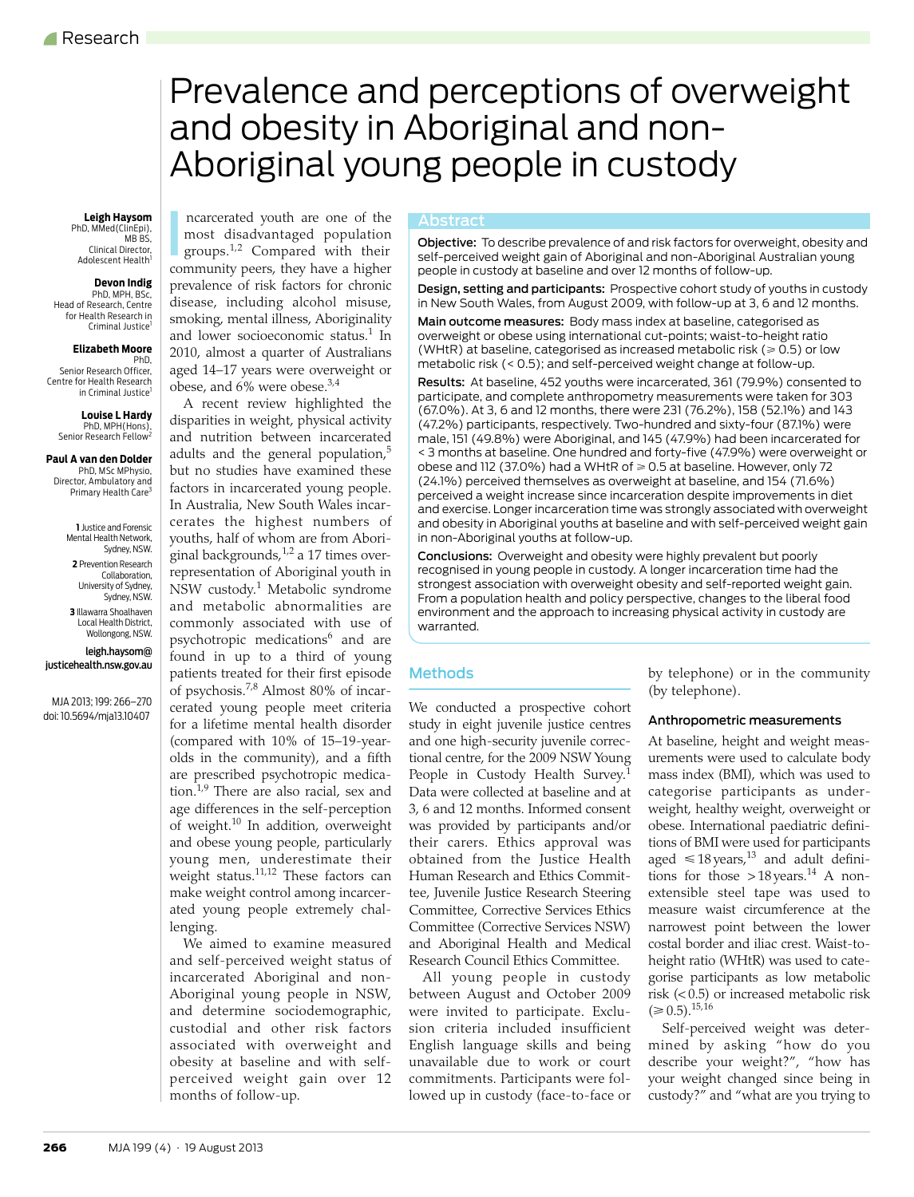# <span id="page-0-0"></span>Prevalence and perceptions of overweight and obesity in Aboriginal and non-Aboriginal young people in custody

## PhD, MMed(ClinEpi),

MB<sub>BS</sub>, Clinical Director, Adolescent Health

### **Devon Indig**

 PhD, MPH, BSc, Head of Research, Centre du of *Health Research* in Criminal Justice<sup>1</sup>

#### **Elizabeth Moore**

 PhD, Senior Research Officer, Centre for Health Research in Criminal Justice

#### **Louise L Hardy** PhD, MPH(Hons),

Senior Research Fellow<sup>2</sup>

**Paul A van den Dolder** PhD, MSc MPhysio, Director, Ambulatory and Primary Health Care<sup>3</sup>

> **1** Justice and Forensic Mental Health Network, Sydney, NSW. **2** Prevention Research Collaboration,

University of Sydney, Sydney, NSW. **3** Illawarra Shoalhaven

Local Health District, Wollongong, NSW.

leigh.haysom@ justicehealth.nsw.gov.au

MJA 2013; 199: [266](#page-0-0)–[270](#page-4-16) doi: 10.5694/mja13.10407

Leigh Haysom **Repart Enc** arcerated youth are one of the **Abstract** most disadvantaged population groups.[1,](#page-4-0)[2](#page-4-1) Compared with their community peers, they have a higher prevalence of risk factors for chronic disease, including alcohol misuse, smoking, mental illness, Aboriginality and lower socioeconomic status.<sup>[1](#page-4-0)</sup> In 2010, almost a quarter of Australians aged 14–17 years were overweight or obese, and 6% were obese[.3,](#page-4-2)[4](#page-4-3)

> A recent review highlighted the disparities in weight, physical activity and nutrition between incarcerated adults and the general population, $5$ but no studies have examined these factors in incarcerated young people. In Australia, New South Wales incarcerates the highest numbers of youths, half of whom are from Aboriginal backgrounds, $1/2$  $1/2$  a 17 times overrepresentation of Aboriginal youth in NSW custody.[1](#page-4-0) Metabolic syndrome and metabolic abnormalities are commonly associated with use of psychotropic medications<sup>[6](#page-4-5)</sup> and are found in up to a third of young patients treated for their first episode of psychosis.[7](#page-4-6),[8](#page-4-7) Almost 80% of incarcerated young people meet criteria for a lifetime mental health disorder (compared with 10% of 15–19-yearolds in the community), and a fifth are prescribed psychotropic medica-tion.<sup>[1](#page-4-0),[9](#page-4-8)</sup> There are also racial, sex and age differences in the self-perception of weight.[10](#page-4-9) In addition, overweight and obese young people, particularly young men, underestimate their weight status.<sup>[11](#page-4-10)[,12](#page-4-11)</sup> These factors can make weight control among incarcerated young people extremely challenging.

incarcerated Aboriginal and non-Aboriginal young people in NSW, and determine sociodemographic, where  $\frac{m}{\alpha}$ We aimed to examine measured and self-perceived weight status of custodial and other risk factors associated with overweight and obesity at baseline and with selfperceived weight gain over 12 months of follow-up.

Incarcerated youth are one of the<br>
most disadvantaged population<br>
groups.<sup>1,2</sup> Compared with their<br>
self-perceived weight gain of Aboriginal and non-Aboriginal Australian young<br>
self-perceived weight gain of Aboriginal and people in custody at baseline and over 12 months of follow-up.

> Design, setting and participants: Prospective cohort study of youths in custody in New South Wales, from August 2009, with follow-up at 3, 6 and 12 months.

Main outcome measures: Body mass index at baseline, categorised as overweight or obese using international cut-points; waist-to-height ratio (WHtR) at baseline, categorised as increased metabolic risk ( $\geq 0.5$ ) or low metabolic risk (< 0.5); and self-perceived weight change at follow-up.

Results: At baseline, 452 youths were incarcerated, 361 (79.9%) consented to participate, and complete anthropometry measurements were taken for 303 (67.0%). At 3, 6 and 12 months, there were 231 (76.2%), 158 (52.1%) and 143 (47.2%) participants, respectively. Two-hundred and sixty-four (87.1%) were male, 151 (49.8%) were Aboriginal, and 145 (47.9%) had been incarcerated for < 3 months at baseline. One hundred and forty-five (47.9%) were overweight or obese and 112 (37.0%) had a WHtR of  $\geq 0.5$  at baseline. However, only 72 (24.1%) perceived themselves as overweight at baseline, and 154 (71.6%) perceived a weight increase since incarceration despite improvements in diet and exercise. Longer incarceration time was strongly associated with overweight and obesity in Aboriginal youths at baseline and with self-perceived weight gain in non-Aboriginal youths at follow-up.

Conclusions: Overweight and obesity were highly prevalent but poorly recognised in young people in custody. A longer incarceration time had the strongest association with overweight obesity and self-reported weight gain. From a population health and policy perspective, changes to the liberal food environment and the approach to increasing physical activity in custody are warranted.

### Methods

We conducted a prospective cohort study in eight juvenile justice centres and one high-security juvenile correctional centre, for the 2009 NSW Young People in Custody Health Survey.<sup>[1](#page-4-0)</sup> Data were collected at baseline and at 3, 6 and 12 months. Informed consent was provided by participants and/or their carers. Ethics approval was obtained from the Justice Health Human Research and Ethics Committee, Juvenile Justice Research Steering Committee, Corrective Services Ethics Committee (Corrective Services NSW) and Aboriginal Health and Medical Research Council Ethics Committee.

All young people in custody between August and October 2009 were invited to participate. Exclusion criteria included insufficient English language skills and being unavailable due to work or court commitments. Participants were followed up in custody (face-to-face or by telephone) or in the community (by telephone).

### Anthropometric measurements

At baseline, height and weight measurements were used to calculate body mass index (BMI), which was used to categorise participants as underweight, healthy weight, overweight or obese. International paediatric definitions of BMI were used for participants aged  $\leq 18$  years,<sup>13</sup> and adult definitions for those  $>18$  years.<sup>14</sup> A nonextensible steel tape was used to measure waist circumference at the narrowest point between the lower costal border and iliac crest. Waist-toheight ratio (WHtR) was used to categorise participants as low metabolic risk (< 0.5) or increased metabolic risk  $(\geq 0.5).^{15,16}$  $(\geq 0.5).^{15,16}$  $(\geq 0.5).^{15,16}$ 

Self-perceived weight was determined by asking "how do you describe your weight?", "how has your weight changed since being in custody?" and "what are you trying to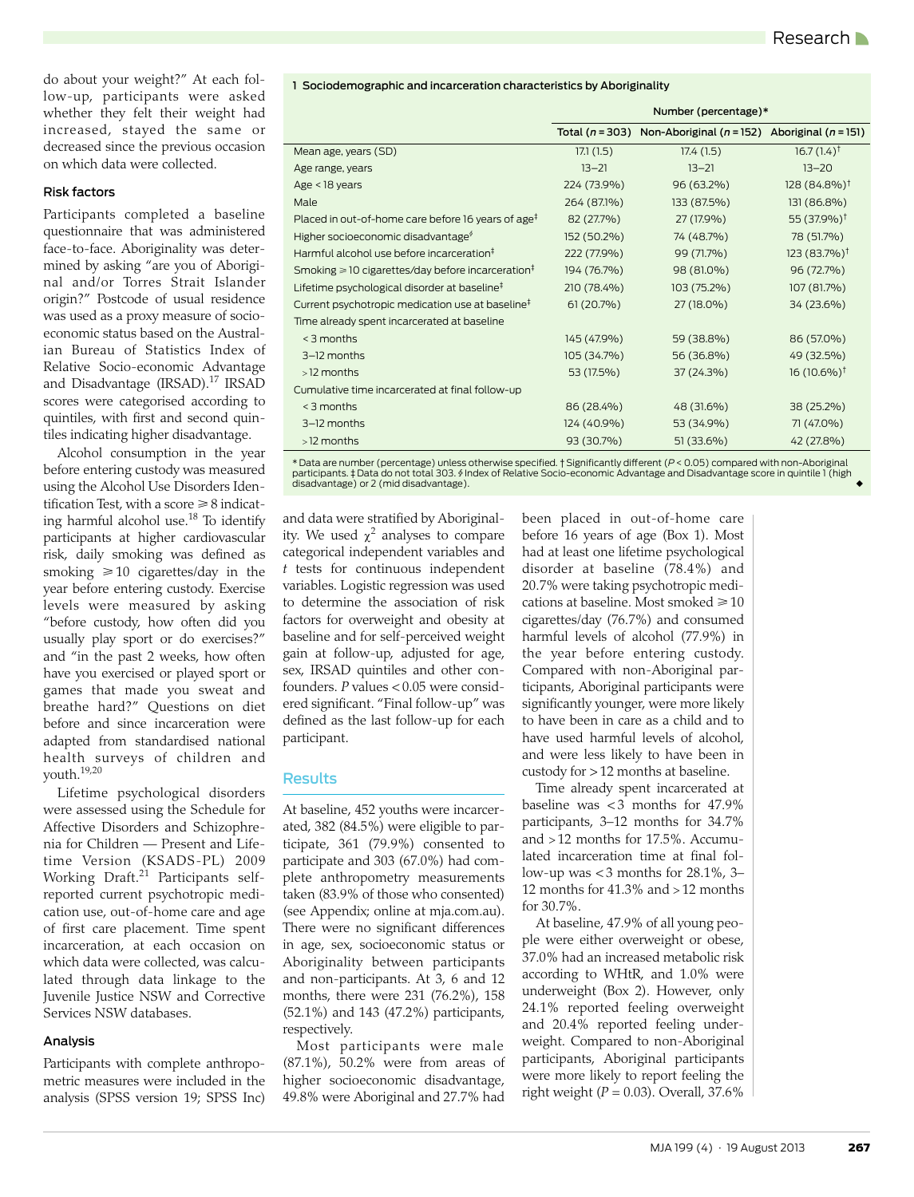do about your weight?" At each follow-up, participants were asked whether they felt their weight had increased, stayed the same or decreased since the previous occasion on which data were collected.

#### Risk factors

Participants completed a baseline questionnaire that was administered face-to-face. Aboriginality was determined by asking "are you of Aboriginal and/or Torres Strait Islander origin?" Postcode of usual residence was used as a proxy measure of socioeconomic status based on the Australian Bureau of Statistics Index of Relative Socio-economic Advantage and Disadvantage (IRSAD).<sup>17</sup> IRSAD scores were categorised according to quintiles, with first and second quintiles indicating higher disadvantage.

Alcohol consumption in the year before entering custody was measured using the Alcohol Use Disorders Identification Test, with a score  $\geq 8$  indicating harmful alcohol use.[18](#page-4-18) To identify participants at higher cardiovascular risk, daily smoking was defined as smoking  $\geq 10$  cigarettes/day in the year before entering custody. Exercise levels were measured by asking "before custody, how often did you usually play sport or do exercises?" and "in the past 2 weeks, how often have you exercised or played sport or games that made you sweat and breathe hard?" Questions on diet before and since incarceration were adapted from standardised national health surveys of children and youth[.19,](#page-4-19)[20](#page-4-20)

Lifetime psychological disorders were assessed using the Schedule for Affective Disorders and Schizophrenia for Children — Present and Lifetime Version (KSADS-PL) 2009 Working Draft.<sup>[21](#page-4-21)</sup> Participants selfreported current psychotropic medication use, out-of-home care and age of first care placement. Time spent incarceration, at each occasion on which data were collected, was calculated through data linkage to the Juvenile Justice NSW and Corrective Services NSW databases.

#### Analysis

Participants with complete anthropometric measures were included in the analysis (SPSS version 19; SPSS Inc)

|                                                                    | Number (percentage)* |                                                                           |                          |  |
|--------------------------------------------------------------------|----------------------|---------------------------------------------------------------------------|--------------------------|--|
|                                                                    |                      | Total ( $n = 303$ ) Non-Aboriginal ( $n = 152$ ) Aboriginal ( $n = 151$ ) |                          |  |
| Mean age, years (SD)                                               | 17.1(1.5)            | 17.4(1.5)                                                                 | $16.7(1.4)$ <sup>†</sup> |  |
| Age range, years                                                   | $13 - 21$            | $13 - 21$                                                                 | $13 - 20$                |  |
| $Age < 18$ years                                                   | 224 (73.9%)          | 96 (63.2%)                                                                | $128(84.8\%)^{\dagger}$  |  |
| Male                                                               | 264 (87.1%)          | 133 (87.5%)                                                               | 131 (86.8%)              |  |
| Placed in out-of-home care before 16 years of age <sup>‡</sup>     | 82 (27.7%)           | 27 (17.9%)                                                                | 55 (37.9%) <sup>†</sup>  |  |
| Higher socioeconomic disadvantage <sup>\$</sup>                    | 152 (50.2%)          | 74 (48.7%)                                                                | 78 (51.7%)               |  |
| Harmful alcohol use before incarceration <sup>#</sup>              | 222 (77.9%)          | 99 (71.7%)                                                                | $123(83.7%)^{\dagger}$   |  |
| Smoking $\geq 10$ cigarettes/day before incarceration <sup>‡</sup> | 194 (76.7%)          | 98 (81.0%)                                                                | 96 (72.7%)               |  |
| Lifetime psychological disorder at baseline <sup>#</sup>           | 210 (78.4%)          | 103 (75.2%)                                                               | 107 (81.7%)              |  |
| Current psychotropic medication use at baseline <sup>#</sup>       | 61(20.7%)            | 27 (18.0%)                                                                | 34 (23.6%)               |  |
| Time already spent incarcerated at baseline                        |                      |                                                                           |                          |  |
| $<$ 3 months                                                       | 145 (47.9%)          | 59 (38.8%)                                                                | 86 (57.0%)               |  |
| 3-12 months                                                        | 105 (34.7%)          | 56 (36.8%)                                                                | 49 (32.5%)               |  |
| $>12$ months                                                       | 53 (17.5%)           | 37 (24.3%)                                                                | $16(10.6\%)^{\dagger}$   |  |
| Cumulative time incarcerated at final follow-up                    |                      |                                                                           |                          |  |
| < 3 months                                                         | 86 (28.4%)           | 48 (31.6%)                                                                | 38 (25.2%)               |  |
| 3-12 months                                                        | 124 (40.9%)          | 53 (34.9%)                                                                | 71 (47.0%)               |  |
| $>12$ months                                                       | 93 (30.7%)           | 51 (33.6%)                                                                | 42 (27.8%)               |  |

1 Sociodemographic and incarceration characteristics by Aboriginality

\* Data are number (percentage) unless otherwise specified. † Significantly different (*P*< 0.05) compared with non-Aboriginal participants. ‡ Data do not total 303. § Index of Relative Socio-economic Advantage and Disadvantage score in quintile 1 (high disadvantage) or 2 (mid disadvantage).

and data were stratified by Aboriginality. We used  $\chi^2$  analyses to compare categorical independent variables and *t* tests for continuous independent variables. Logistic regression was used to determine the association of risk factors for overweight and obesity at baseline and for self-perceived weight gain at follow-up, adjusted for age, sex, IRSAD quintiles and other confounders. *P* values < 0.05 were considered significant. "Final follow-up" was defined as the last follow-up for each participant.

### **Results**

At baseline, 452 youths were incarcerated, 382 (84.5%) were eligible to participate, 361 (79.9%) consented to participate and 303 (67.0%) had complete anthropometry measurements taken (83.9% of those who consented) (see Appendix; online at mja.com.au). There were no significant differences in age, sex, socioeconomic status or Aboriginality between participants and non-participants. At 3, 6 and 12 months, there were 231 (76.2%), 158 (52.1%) and 143 (47.2%) participants, respectively.

Most participants were male (87.1%), 50.2% were from areas of higher socioeconomic disadvantage, 49.8% were Aboriginal and 27.7% had

been placed in out-of-home care before 16 years of age (Box 1). Most had at least one lifetime psychological disorder at baseline (78.4%) and 20.7% were taking psychotropic medications at baseline. Most smoked  $\geq 10$ cigarettes/day (76.7%) and consumed harmful levels of alcohol (77.9%) in the year before entering custody. Compared with non-Aboriginal participants, Aboriginal participants were significantly younger, were more likely to have been in care as a child and to have used harmful levels of alcohol, and were less likely to have been in custody for > 12 months at baseline.

Time already spent incarcerated at baseline was  $<$  3 months for 47.9% participants, 3–12 months for 34.7% and  $>12$  months for 17.5%. Accumulated incarceration time at final follow-up was  $<$  3 months for 28.1%, 3– 12 months for  $41.3\%$  and  $>12$  months for 30.7%.

At baseline, 47.9% of all young people were either overweight or obese, 37.0% had an increased metabolic risk according to WHtR, and 1.0% were underweight (Box 2). However, only 24.1% reported feeling overweight and 20.4% reported feeling underweight. Compared to non-Aboriginal participants, Aboriginal participants were more likely to report feeling the right weight (*P* = 0.03). Overall, 37.6%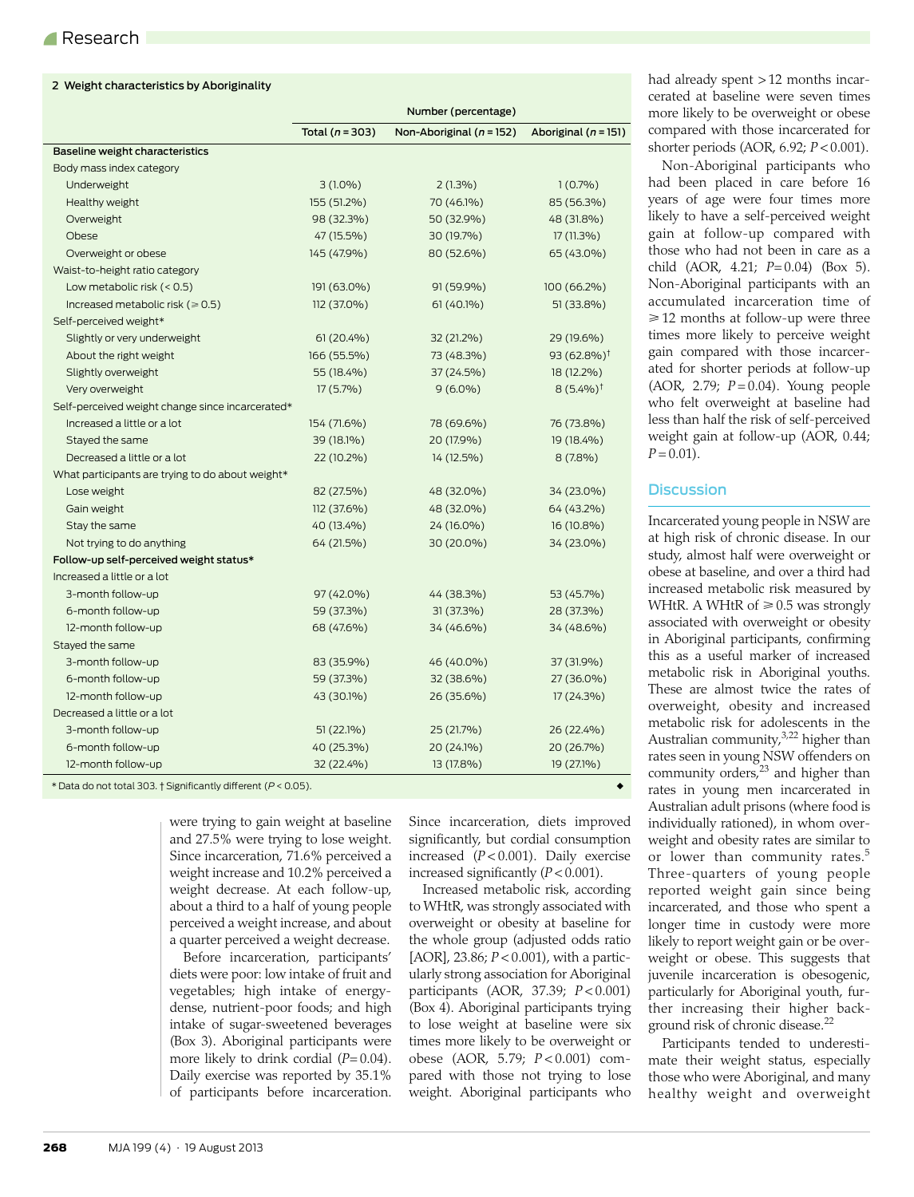| 2 Weight characteristics by Aboriginality        |                     |                              |                          |  |
|--------------------------------------------------|---------------------|------------------------------|--------------------------|--|
|                                                  | Number (percentage) |                              |                          |  |
|                                                  | Total ( $n = 303$ ) | Non-Aboriginal ( $n = 152$ ) | Aboriginal ( $n = 151$ ) |  |
| Baseline weight characteristics                  |                     |                              |                          |  |
| Body mass index category                         |                     |                              |                          |  |
| Underweight                                      | $3(1.0\%)$          | $2(1.3\%)$                   | 1(0.7%)                  |  |
| Healthy weight                                   | 155 (51.2%)         | 70 (46.1%)                   | 85 (56.3%)               |  |
| Overweight                                       | 98 (32.3%)          | 50 (32.9%)                   | 48 (31.8%)               |  |
| Obese                                            | 47 (15.5%)          | 30 (19.7%)                   | $17(11.3\%)$             |  |
| Overweight or obese                              | 145 (47.9%)         | 80 (52.6%)                   | 65 (43.0%)               |  |
| Waist-to-height ratio category                   |                     |                              |                          |  |
| Low metabolic risk $(< 0.5)$                     | 191 (63.0%)         | 91 (59.9%)                   | 100 (66.2%)              |  |
| Increased metabolic risk ( $\geq 0.5$ )          | 112 (37.0%)         | 61 (40.1%)                   | 51 (33.8%)               |  |
| Self-perceived weight*                           |                     |                              |                          |  |
| Slightly or very underweight                     | 61 (20.4%)          | 32 (21.2%)                   | 29 (19.6%)               |  |
| About the right weight                           | 166 (55.5%)         | 73 (48.3%)                   | 93 $(62.8\%)^{\dagger}$  |  |
| Slightly overweight                              | 55 (18.4%)          | 37 (24.5%)                   | 18 (12.2%)               |  |
| Very overweight                                  | $17(5.7\%)$         | $9(6.0\%)$                   | $8(5.4\%)^{\dagger}$     |  |
| Self-perceived weight change since incarcerated* |                     |                              |                          |  |
| Increased a little or a lot                      | 154 (71.6%)         | 78 (69.6%)                   | 76 (73.8%)               |  |
| Stayed the same                                  | 39 (18.1%)          | 20 (17.9%)                   | 19 (18.4%)               |  |
| Decreased a little or a lot                      | 22 (10.2%)          | 14 (12.5%)                   | $8(7.8\%)$               |  |
| What participants are trying to do about weight* |                     |                              |                          |  |
| Lose weight                                      | 82 (27.5%)          | 48 (32.0%)                   | 34 (23.0%)               |  |
| Gain weight                                      | 112 (37.6%)         | 48 (32.0%)                   | 64 (43.2%)               |  |
| Stay the same                                    | 40 (13.4%)          | 24 (16.0%)                   | 16 (10.8%)               |  |
| Not trying to do anything                        | 64 (21.5%)          | 30 (20.0%)                   | 34 (23.0%)               |  |
| Follow-up self-perceived weight status*          |                     |                              |                          |  |
| Increased a little or a lot                      |                     |                              |                          |  |
| 3-month follow-up                                | 97 (42.0%)          | 44 (38.3%)                   | 53 (45.7%)               |  |
| 6-month follow-up                                | 59 (37.3%)          | 31 (37.3%)                   | 28 (37.3%)               |  |
| 12-month follow-up                               | 68 (47.6%)          | 34 (46.6%)                   | 34 (48.6%)               |  |
| Stayed the same                                  |                     |                              |                          |  |
| 3-month follow-up                                | 83 (35.9%)          | 46 (40.0%)                   | 37 (31.9%)               |  |
| 6-month follow-up                                | 59 (37.3%)          | 32 (38.6%)                   | 27 (36.0%)               |  |
| 12-month follow-up                               | 43 (30.1%)          | 26 (35.6%)                   | 17 (24.3%)               |  |
| Decreased a little or a lot                      |                     |                              |                          |  |
| 3-month follow-up                                | 51 (22.1%)          | 25 (21.7%)                   | 26 (22.4%)               |  |
| 6-month follow-up                                | 40 (25.3%)          | 20 (24.1%)                   | 20 (26.7%)               |  |
| 12-month follow-up                               | 32 (22.4%)          | 13 (17.8%)                   | 19 (27.1%)               |  |
|                                                  |                     |                              |                          |  |

\* Data do not total 303. † Significantly different (*P*< 0.05). ◆

were trying to gain weight at baseline and 27.5% were trying to lose weight. Since incarceration, 71.6% perceived a weight increase and 10.2% perceived a weight decrease. At each follow-up, about a third to a half of young people perceived a weight increase, and about a quarter perceived a weight decrease.

Before incarceration, participants' diets were poor: low intake of fruit and vegetables; high intake of energydense, nutrient-poor foods; and high intake of sugar-sweetened beverages (Box 3). Aboriginal participants were more likely to drink cordial (*P=* 0.04). Daily exercise was reported by 35.1% of participants before incarceration.

Since incarceration, diets improved significantly, but cordial consumption increased (*P* < 0.001). Daily exercise increased significantly (*P* < 0.001).

Increased metabolic risk, according to WHtR, was strongly associated with overweight or obesity at baseline for the whole group (adjusted odds ratio [AOR], 23.86; *P* < 0.001), with a particularly strong association for Aboriginal participants (AOR, 37.39; *P* < 0.001) (Box 4). Aboriginal participants trying to lose weight at baseline were six times more likely to be overweight or obese (AOR, 5.79; *P* < 0.001) compared with those not trying to lose weight. Aboriginal participants who

had already spent > 12 months incarcerated at baseline were seven times more likely to be overweight or obese compared with those incarcerated for shorter periods (AOR, 6.92; *P* < 0.001).

Non-Aboriginal participants who had been placed in care before 16 years of age were four times more likely to have a self-perceived weight gain at follow-up compared with those who had not been in care as a child (AOR, 4.21; *P*= 0.04) (Box 5). Non-Aboriginal participants with an accumulated incarceration time of  $\geq 12$  months at follow-up were three times more likely to perceive weight gain compared with those incarcerated for shorter periods at follow-up (AOR, 2.79; *P* = 0.04). Young people who felt overweight at baseline had less than half the risk of self-perceived weight gain at follow-up (AOR, 0.44;  $P = 0.01$ .

### **Discussion**

Incarcerated young people in NSW are at high risk of chronic disease. In our study, almost half were overweight or obese at baseline, and over a third had increased metabolic risk measured by WHtR. A WHtR of  $\geq 0.5$  was strongly associated with overweight or obesity in Aboriginal participants, confirming this as a useful marker of increased metabolic risk in Aboriginal youths. These are almost twice the rates of overweight, obesity and increased metabolic risk for adolescents in the Australian community, $3,22$  $3,22$  higher than rates seen in young NSW offenders on community orders,<sup>[23](#page-4-23)</sup> and higher than rates in young men incarcerated in Australian adult prisons (where food is individually rationed), in whom overweight and obesity rates are similar to or lower than community rates.<sup>[5](#page-4-4)</sup> Three-quarters of young people reported weight gain since being incarcerated, and those who spent a longer time in custody were more likely to report weight gain or be overweight or obese. This suggests that juvenile incarceration is obesogenic, particularly for Aboriginal youth, further increasing their higher background risk of chronic disease.[22](#page-4-22)

Participants tended to underestimate their weight status, especially those who were Aboriginal, and many healthy weight and overweight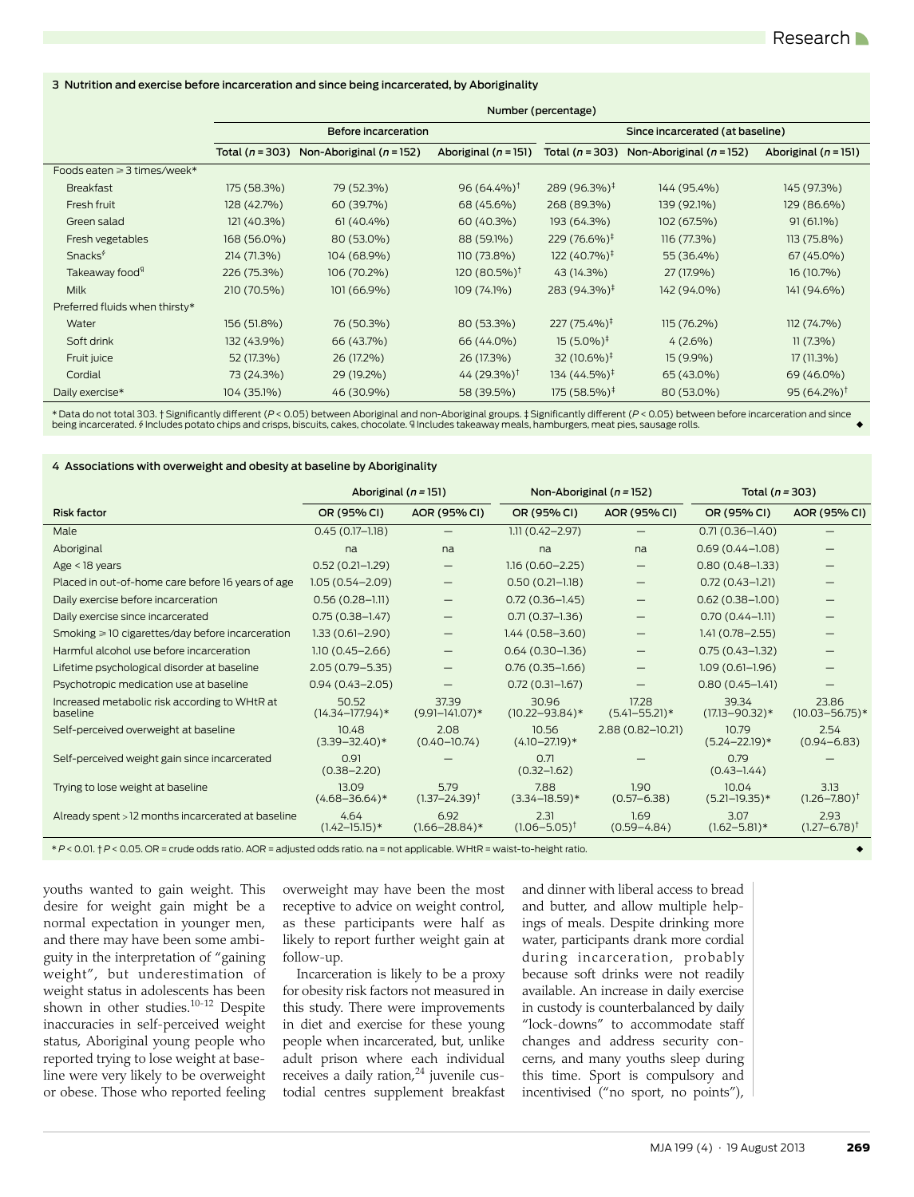3 Nutrition and exercise before incarceration and since being incarcerated, by Aboriginality

|                                | Number (percentage)  |                              |                            |                                  |                              |                          |  |  |
|--------------------------------|----------------------|------------------------------|----------------------------|----------------------------------|------------------------------|--------------------------|--|--|
|                                | Before incarceration |                              |                            | Since incarcerated (at baseline) |                              |                          |  |  |
|                                | Total $(n = 303)$    | Non-Aboriginal ( $n = 152$ ) | Aboriginal ( $n = 151$ )   | Total ( $n = 303$ )              | Non-Aboriginal ( $n = 152$ ) | Aboriginal ( $n = 151$ ) |  |  |
| Foods eaten ≥ 3 times/week*    |                      |                              |                            |                                  |                              |                          |  |  |
| <b>Breakfast</b>               | 175 (58.3%)          | 79 (52.3%)                   | 96 $(64.4\%)$ <sup>†</sup> | 289 (96.3%) <sup>‡</sup>         | 144 (95.4%)                  | 145 (97.3%)              |  |  |
| Fresh fruit                    | 128 (42.7%)          | 60 (39.7%)                   | 68 (45.6%)                 | 268 (89.3%)                      | 139 (92.1%)                  | 129 (86.6%)              |  |  |
| Green salad                    | 121 (40.3%)          | $61(40.4\%)$                 | 60 (40.3%)                 | 193 (64.3%)                      | 102 (67.5%)                  | $91(61.1\%)$             |  |  |
| Fresh vegetables               | 168 (56.0%)          | 80 (53.0%)                   | 88 (59.1%)                 | 229 (76.6%) <sup>‡</sup>         | 116 (77.3%)                  | 113 (75.8%)              |  |  |
| Snacks <sup>\$</sup>           | 214 (71.3%)          | 104 (68.9%)                  | 110 (73.8%)                | $122(40.7\%)^{\ddagger}$         | 55 (36.4%)                   | 67 (45.0%)               |  |  |
| Takeaway food <sup>4</sup>     | 226 (75.3%)          | 106 (70.2%)                  | $120 (80.5\%)^{\dagger}$   | 43 (14.3%)                       | 27 (17.9%)                   | 16 (10.7%)               |  |  |
| Milk                           | 210 (70.5%)          | 101 (66.9%)                  | 109 (74.1%)                | 283 (94.3%) <sup>‡</sup>         | 142 (94.0%)                  | 141 (94.6%)              |  |  |
| Preferred fluids when thirsty* |                      |                              |                            |                                  |                              |                          |  |  |
| Water                          | 156 (51.8%)          | 76 (50.3%)                   | 80 (53.3%)                 | 227 (75.4%) <sup>‡</sup>         | 115 (76.2%)                  | 112 (74.7%)              |  |  |
| Soft drink                     | 132 (43.9%)          | 66 (43.7%)                   | 66 (44.0%)                 | $15(5.0\%)^{\ddagger}$           | $4(2.6\%)$                   | $11(7.3\%)$              |  |  |
| Fruit juice                    | 52 (17.3%)           | 26 (17.2%)                   | 26 (17.3%)                 | 32 $(10.6\%)^{\ddagger}$         | 15 (9.9%)                    | 17(11.3%)                |  |  |
| Cordial                        | 73 (24.3%)           | 29 (19.2%)                   | 44 (29.3%) <sup>†</sup>    | $134(44.5\%)^{\ddagger}$         | 65 (43.0%)                   | 69 (46.0%)               |  |  |
| Daily exercise*                | 104 (35.1%)          | 46 (30.9%)                   | 58 (39.5%)                 | $175(58.5\%)^{\ddagger}$         | 80 (53.0%)                   | 95 $(64.2\%)^{\dagger}$  |  |  |

\* Data do not total 303. † Significantly different (*P*< 0.05) between Aboriginal and non-Aboriginal groups. ‡ Significantly different (*P*< 0.05) between before incarceration and since being incarcerated. § Includes potato chips and crisps, biscuits, cakes, chocolate. ¶ Includes takeaway meals, hamburgers, meat pies, sausage rolls.

#### 4 Associations with overweight and obesity at baseline by Aboriginality

| Aboriginal ( $n = 151$ )                                                         |                                           |                                   |                            | Total ( $n = 303$ )          |                                      |
|----------------------------------------------------------------------------------|-------------------------------------------|-----------------------------------|----------------------------|------------------------------|--------------------------------------|
| OR (95% CI)                                                                      | AOR (95% CI)                              | OR (95% CI)                       | AOR (95% CI)               | OR (95% CI)                  | AOR (95% CI)                         |
| $0.45(0.17 - 1.18)$                                                              |                                           | $1.11(0.42 - 2.97)$               |                            | $0.71(0.36 - 1.40)$          |                                      |
| na                                                                               | na                                        | na                                | na                         | $0.69(0.44 - 1.08)$          |                                      |
| $0.52(0.21 - 1.29)$                                                              |                                           | $1.16(0.60 - 2.25)$               |                            | $0.80(0.48 - 1.33)$          |                                      |
| 1.05 (0.54-2.09)                                                                 |                                           | $0.50(0.21 - 1.18)$               |                            | $0.72(0.43 - 1.21)$          |                                      |
| $0.56(0.28 - 1.11)$                                                              | $\qquad \qquad \overline{\qquad \qquad }$ | $0.72(0.36 - 1.45)$               |                            | $0.62(0.38 - 1.00)$          |                                      |
| $0.75(0.38 - 1.47)$                                                              |                                           | $0.71(0.37-1.36)$                 |                            | $0.70(0.44 - 1.11)$          |                                      |
| $1.33(0.61 - 2.90)$                                                              |                                           | $1.44(0.58 - 3.60)$               |                            | $1.41(0.78 - 2.55)$          |                                      |
| $1.10(0.45 - 2.66)$                                                              |                                           | $0.64(0.30-1.36)$                 |                            | $0.75(0.43 - 1.32)$          |                                      |
| $2.05(0.79 - 5.35)$                                                              |                                           | $0.76(0.35 - 1.66)$               |                            | $1.09(0.61 - 1.96)$          |                                      |
| $0.94(0.43 - 2.05)$                                                              |                                           | $0.72(0.31 - 1.67)$               |                            | $0.80(0.45 - 1.41)$          |                                      |
| 50.52<br>$(14.34 - 177.94)$ *                                                    | 37.39<br>$(9.91 - 141.07)*$               | 30.96<br>$(10.22 - 93.84)$ *      | 17.28<br>$(5.41 - 55.21)*$ | 39.34<br>$(17.13 - 90.32)*$  | 23.86<br>$(10.03 - 56.75)*$          |
| 10.48<br>$(3.39 - 32.40)*$                                                       | 2.08<br>$(0.40 - 10.74)$                  | 10.56<br>$(4.10 - 27.19)*$        | $2.88(0.82 - 10.21)$       | 10.79<br>$(5.24 - 22.19)*$   | 2.54<br>$(0.94 - 6.83)$              |
| 0.91<br>$(0.38 - 2.20)$                                                          |                                           | 0.71<br>$(0.32 - 1.62)$           |                            | 0.79<br>$(0.43 - 1.44)$      |                                      |
| 13.09<br>$(4.68 - 36.64)^*$                                                      | 5.79<br>$(1.37 - 24.39)^{\dagger}$        | 7.88<br>$(3.34 - 18.59)*$         | 1.90<br>$(0.57 - 6.38)$    | 10.04<br>$(5.21 - 19.35)*$   | 313<br>$(1.26 - 7.80)^{\dagger}$     |
| Already spent > 12 months incarcerated at baseline<br>4.64<br>$(1.42 - 15.15)^*$ | 6.92<br>$(1.66 - 28.84)^*$                | 2.31<br>$(1.06 - 5.05)^{\dagger}$ | 1.69<br>$(0.59 - 4.84)$    | 3.07<br>$(1.62 - 5.81)^*$    | 2.93<br>$(1.27 - 6.78)$ <sup>t</sup> |
|                                                                                  |                                           |                                   |                            | Non-Aboriginal ( $n = 152$ ) |                                      |

\**P*< 0.01. †*P*< 0.05. OR = crude odds ratio. AOR = adjusted odds ratio. na = not applicable. WHtR = waist-to-height ratio. ◆

youths wanted to gain weight. This desire for weight gain might be a normal expectation in younger men, and there may have been some ambiguity in the interpretation of "gaining weight", but underestimation of weight status in adolescents has been shown in other studies[.10](#page-4-9)-[12](#page-4-11) Despite inaccuracies in self-perceived weight status, Aboriginal young people who reported trying to lose weight at baseline were very likely to be overweight or obese. Those who reported feeling overweight may have been the most receptive to advice on weight control, as these participants were half as likely to report further weight gain at follow-up.

Incarceration is likely to be a proxy for obesity risk factors not measured in this study. There were improvements in diet and exercise for these young people when incarcerated, but, unlike adult prison where each individual receives a daily ration,<sup>24</sup> juvenile custodial centres supplement breakfast

and dinner with liberal access to bread and butter, and allow multiple helpings of meals. Despite drinking more water, participants drank more cordial during incarceration, probably because soft drinks were not readily available. An increase in daily exercise in custody is counterbalanced by daily "lock-downs" to accommodate staff changes and address security concerns, and many youths sleep during this time. Sport is compulsory and incentivised ("no sport, no points"),